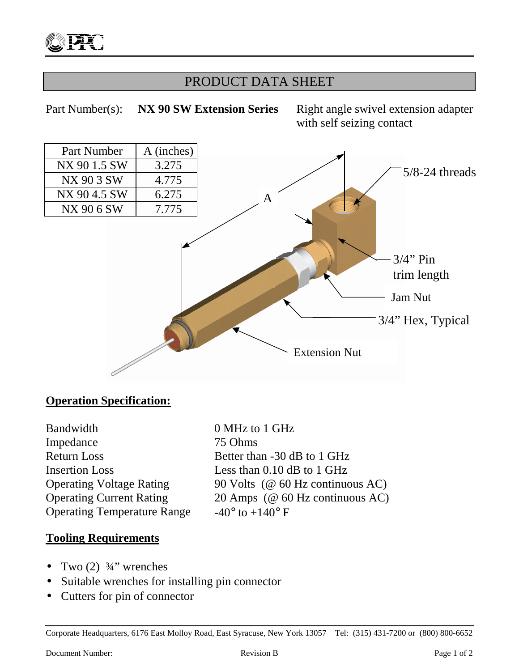## PRODUCT DATA SHEET



## **Operation Specification:**

Bandwidth 0 MHz to 1 GHz Impedance 75 Ohms Return Loss Better than -30 dB to 1 GHz Insertion Loss Less than 0.10 dB to 1 GHz Operating Temperature Range  $-40^{\circ}$  to  $+140^{\circ}$  F

Operating Voltage Rating 90 Volts (@ 60 Hz continuous AC) Operating Current Rating 20 Amps (@ 60 Hz continuous AC)

### **Tooling Requirements**

- Two  $(2)$   $\frac{3}{4}$ " wrenches
- Suitable wrenches for installing pin connector
- Cutters for pin of connector

Corporate Headquarters, 6176 East Molloy Road, East Syracuse, New York 13057 Tel: (315) 431-7200 or (800) 800-6652